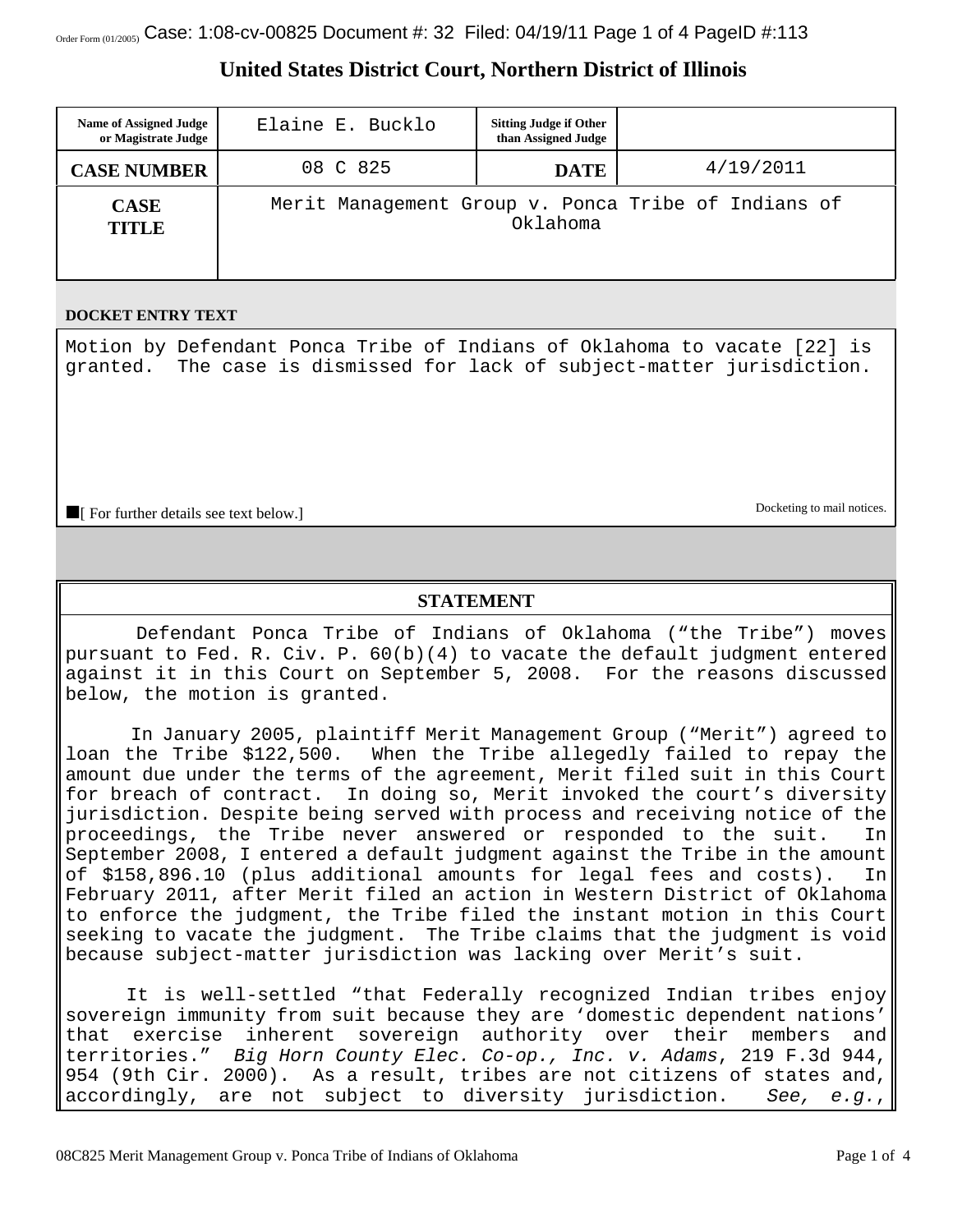# **United States District Court, Northern District of Illinois**

| <b>Name of Assigned Judge</b><br>or Magistrate Judge | Elaine E. Bucklo                                                | <b>Sitting Judge if Other</b><br>than Assigned Judge |           |
|------------------------------------------------------|-----------------------------------------------------------------|------------------------------------------------------|-----------|
| <b>CASE NUMBER</b>                                   | 08 C 825                                                        | <b>DATE</b>                                          | 4/19/2011 |
| <b>CASE</b><br><b>TITLE</b>                          | Merit Management Group v. Ponca Tribe of Indians of<br>Oklahoma |                                                      |           |

#### **DOCKET ENTRY TEXT**

Motion by Defendant Ponca Tribe of Indians of Oklahoma to vacate [22] is granted. The case is dismissed for lack of subject-matter jurisdiction.

**The Form of Form of Form of the Contract See text below.** Docketing to mail notices.

# **STATEMENT**

 Defendant Ponca Tribe of Indians of Oklahoma ("the Tribe") moves pursuant to Fed. R. Civ. P. 60(b)(4) to vacate the default judgment entered against it in this Court on September 5, 2008. For the reasons discussed below, the motion is granted.

 In January 2005, plaintiff Merit Management Group ("Merit") agreed to loan the Tribe \$122,500. When the Tribe allegedly failed to repay the amount due under the terms of the agreement, Merit filed suit in this Court for breach of contract. In doing so, Merit invoked the court's diversity jurisdiction. Despite being served with process and receiving notice of the proceedings, the Tribe never answered or responded to the suit. In September 2008, I entered a default judgment against the Tribe in the amount of \$158,896.10 (plus additional amounts for legal fees and costs). In February 2011, after Merit filed an action in Western District of Oklahoma to enforce the judgment, the Tribe filed the instant motion in this Court seeking to vacate the judgment. The Tribe claims that the judgment is void because subject-matter jurisdiction was lacking over Merit's suit.

 It is well-settled "that Federally recognized Indian tribes enjoy sovereign immunity from suit because they are 'domestic dependent nations' that exercise inherent sovereign authority over their members and territories." *Big Horn County Elec. Co-op., Inc. v. Adams*, 219 F.3d 944, 954 (9th Cir. 2000). As a result, tribes are not citizens of states and, accordingly, are not subject to diversity jurisdiction. *See, e.g.*,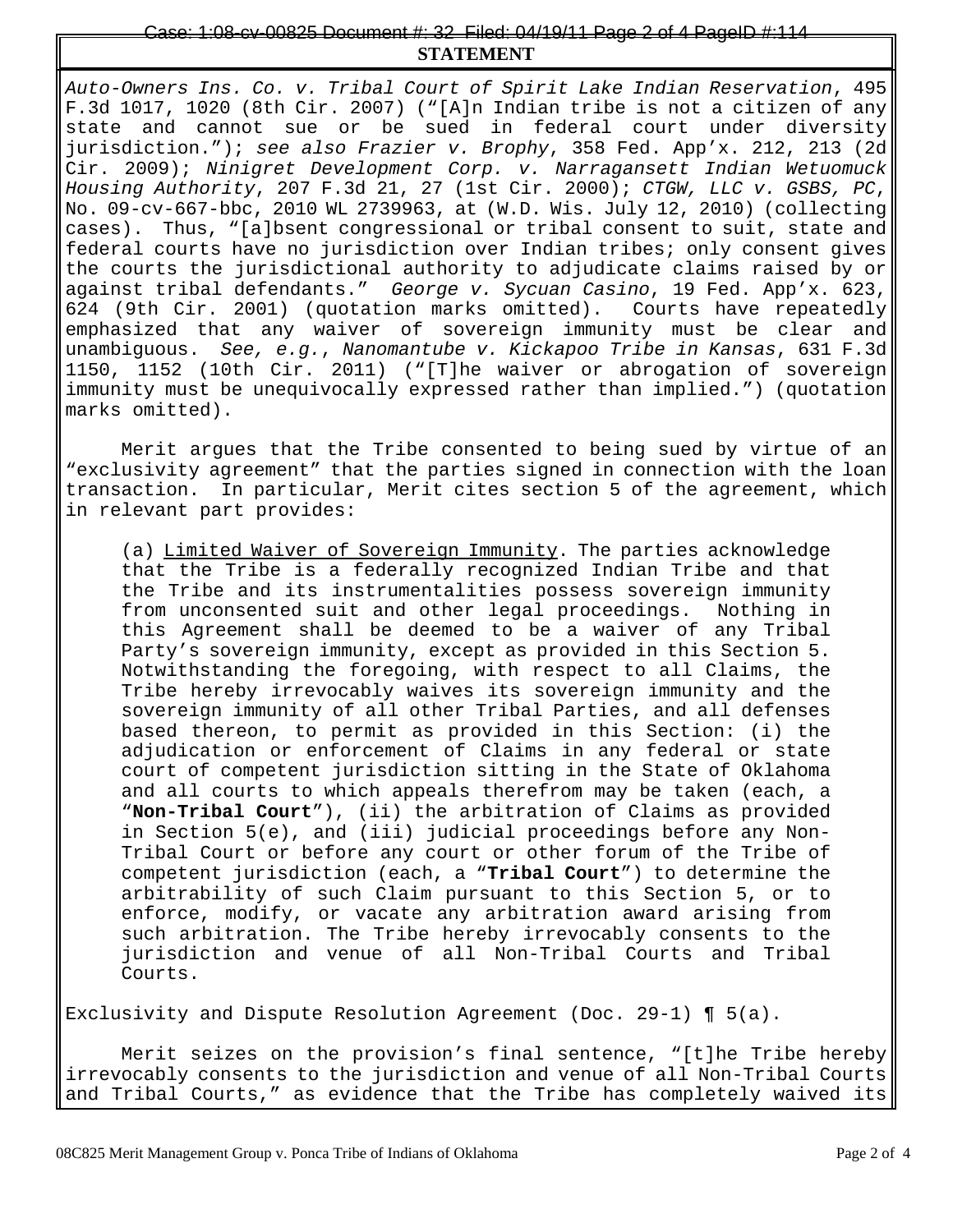### **STATEMENT** Case: 1:08-cv-00825 Document #: 32 Filed: 04/19/11 Page 2 of 4 PageID #:114

*Auto-Owners Ins. Co. v. Tribal Court of Spirit Lake Indian Reservation*, 495 F.3d 1017, 1020 (8th Cir. 2007) ("[A]n Indian tribe is not a citizen of any state and cannot sue or be sued in federal court under diversity jurisdiction."); *see also Frazier v. Brophy*, 358 Fed. App'x. 212, 213 (2d Cir. 2009); *Ninigret Development Corp. v. Narragansett Indian Wetuomuck Housing Authority*, 207 F.3d 21, 27 (1st Cir. 2000); *CTGW, LLC v. GSBS, PC*, No. 09-cv-667-bbc, 2010 WL 2739963, at (W.D. Wis. July 12, 2010) (collecting cases). Thus, "[a]bsent congressional or tribal consent to suit, state and federal courts have no jurisdiction over Indian tribes; only consent gives the courts the jurisdictional authority to adjudicate claims raised by or against tribal defendants." *George v. Sycuan Casino*, 19 Fed. App'x. 623, 624 (9th Cir. 2001) (quotation marks omitted). Courts have repeatedly emphasized that any waiver of sovereign immunity must be clear and unambiguous. *See, e.g.*, *Nanomantube v. Kickapoo Tribe in Kansas*, 631 F.3d 1150, 1152 (10th Cir. 2011) ("[T]he waiver or abrogation of sovereign immunity must be unequivocally expressed rather than implied.") (quotation marks omitted).

Merit argues that the Tribe consented to being sued by virtue of an "exclusivity agreement" that the parties signed in connection with the loan transaction. In particular, Merit cites section 5 of the agreement, which in relevant part provides:

(a) Limited Waiver of Sovereign Immunity. The parties acknowledge that the Tribe is a federally recognized Indian Tribe and that the Tribe and its instrumentalities possess sovereign immunity from unconsented suit and other legal proceedings. Nothing in this Agreement shall be deemed to be a waiver of any Tribal Party's sovereign immunity, except as provided in this Section 5. Notwithstanding the foregoing, with respect to all Claims, the Tribe hereby irrevocably waives its sovereign immunity and the sovereign immunity of all other Tribal Parties, and all defenses based thereon, to permit as provided in this Section: (i) the adjudication or enforcement of Claims in any federal or state court of competent jurisdiction sitting in the State of Oklahoma and all courts to which appeals therefrom may be taken (each, a "**Non-Tribal Court**"), (ii) the arbitration of Claims as provided in Section 5(e), and (iii) judicial proceedings before any Non-Tribal Court or before any court or other forum of the Tribe of competent jurisdiction (each, a "**Tribal Court**") to determine the arbitrability of such Claim pursuant to this Section 5, or to enforce, modify, or vacate any arbitration award arising from such arbitration. The Tribe hereby irrevocably consents to the jurisdiction and venue of all Non-Tribal Courts and Tribal Courts.

Exclusivity and Dispute Resolution Agreement (Doc. 29-1)  $\P$  5(a).

Merit seizes on the provision's final sentence, "[t]he Tribe hereby irrevocably consents to the jurisdiction and venue of all Non-Tribal Courts and Tribal Courts," as evidence that the Tribe has completely waived its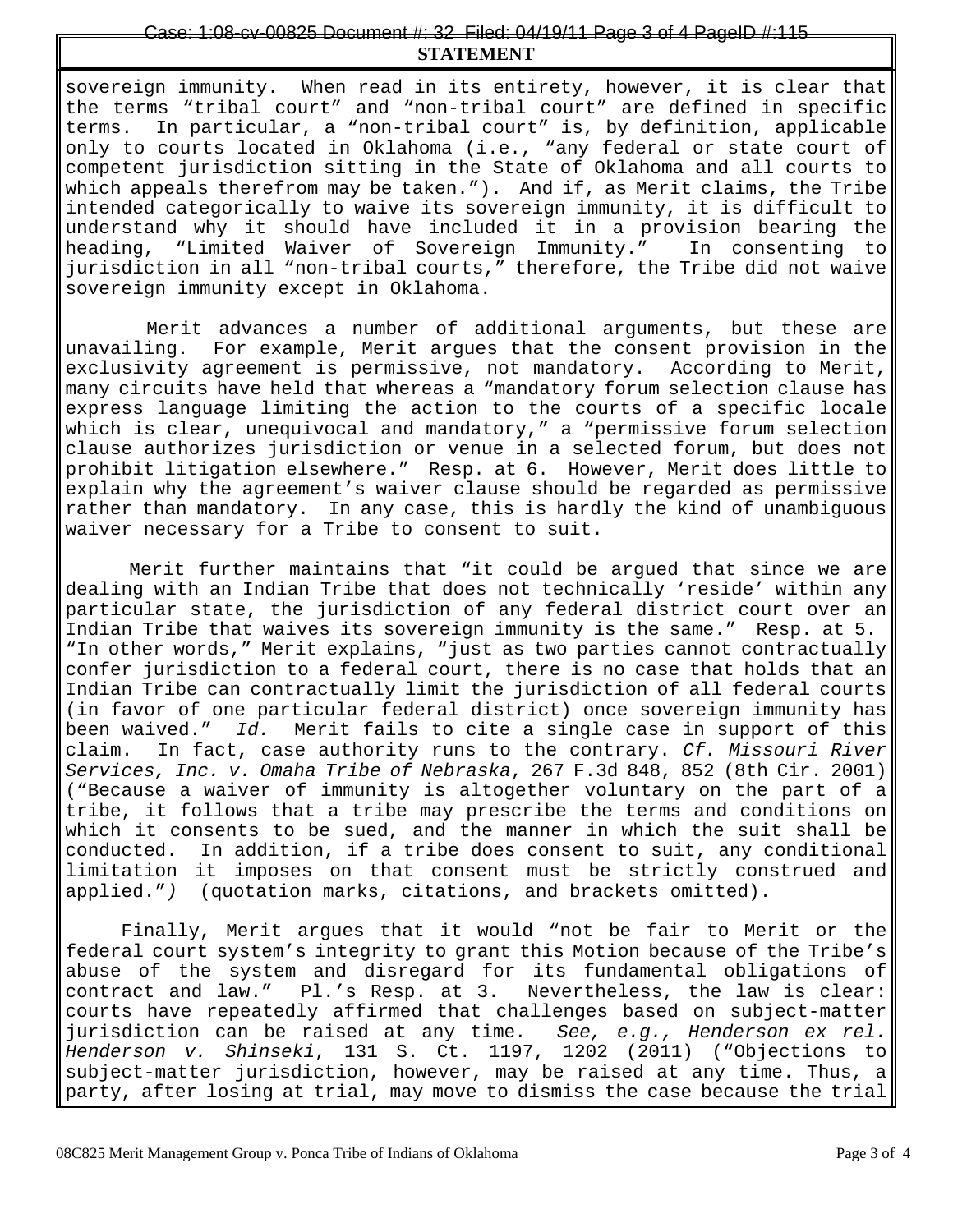# **STATEMENT** ase: 1:08-cv-00825 Document #: 32 Filed: 04/19/11 Page 3 of 4 PageID

sovereign immunity. When read in its entirety, however, it is clear that the terms "tribal court" and "non-tribal court" are defined in specific terms. In particular, a "non-tribal court" is, by definition, applicable only to courts located in Oklahoma (i.e., "any federal or state court of competent jurisdiction sitting in the State of Oklahoma and all courts to which appeals therefrom may be taken."). And if, as Merit claims, the Tribe intended categorically to waive its sovereign immunity, it is difficult to understand why it should have included it in a provision bearing the heading, "Limited Waiver of Sovereign Immunity." In consenting to jurisdiction in all "non-tribal courts," therefore, the Tribe did not waive sovereign immunity except in Oklahoma.

 Merit advances a number of additional arguments, but these are unavailing. For example, Merit argues that the consent provision in the exclusivity agreement is permissive, not mandatory. According to Merit, many circuits have held that whereas a "mandatory forum selection clause has express language limiting the action to the courts of a specific locale which is clear, unequivocal and mandatory," a "permissive forum selection clause authorizes jurisdiction or venue in a selected forum, but does not prohibit litigation elsewhere." Resp. at 6. However, Merit does little to explain why the agreement's waiver clause should be regarded as permissive rather than mandatory. In any case, this is hardly the kind of unambiguous waiver necessary for a Tribe to consent to suit.

 Merit further maintains that "it could be argued that since we are dealing with an Indian Tribe that does not technically 'reside' within any particular state, the jurisdiction of any federal district court over an Indian Tribe that waives its sovereign immunity is the same." Resp. at 5. "In other words," Merit explains, "just as two parties cannot contractually confer jurisdiction to a federal court, there is no case that holds that an Indian Tribe can contractually limit the jurisdiction of all federal courts (in favor of one particular federal district) once sovereign immunity has been waived." *Id.* Merit fails to cite a single case in support of this claim. In fact, case authority runs to the contrary. *Cf. Missouri River Services, Inc. v. Omaha Tribe of Nebraska*, 267 F.3d 848, 852 (8th Cir. 2001) ("Because a waiver of immunity is altogether voluntary on the part of a tribe, it follows that a tribe may prescribe the terms and conditions on which it consents to be sued, and the manner in which the suit shall be conducted. In addition, if a tribe does consent to suit, any conditional limitation it imposes on that consent must be strictly construed and applied."*)* (quotation marks, citations, and brackets omitted).

Finally, Merit argues that it would "not be fair to Merit or the federal court system's integrity to grant this Motion because of the Tribe's abuse of the system and disregard for its fundamental obligations of contract and law." Pl.'s Resp. at 3. Nevertheless, the law is clear: courts have repeatedly affirmed that challenges based on subject-matter jurisdiction can be raised at any time*. See, e.g., Henderson ex rel. Henderson v. Shinseki*, 131 S. Ct. 1197, 1202 (2011) ("Objections to subject-matter jurisdiction, however, may be raised at any time. Thus, a party, after losing at trial, may move to dismiss the case because the trial